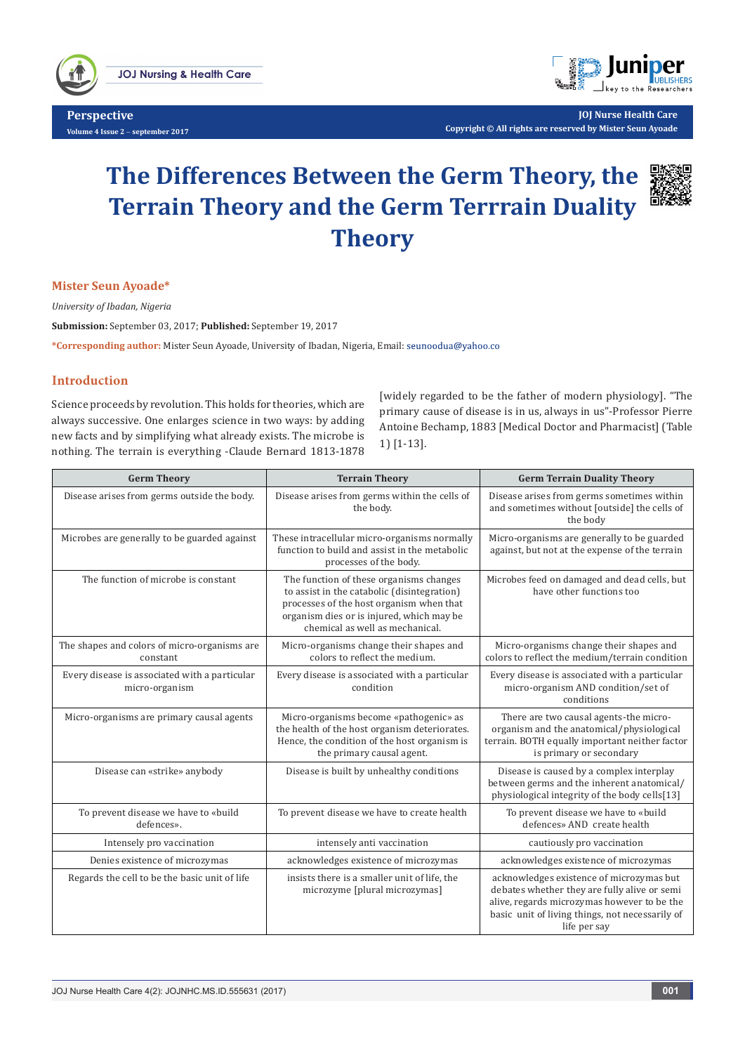

**Perspective Volume 4 Issue 2** - **september 2017**



**JOJ Nurse Health Care Copyright © All rights are reserved by Mister Seun Ayoade**

# **The Differences Between the Germ Theory, the Terrain Theory and the Germ Terrrain Duality Theory**



### **Mister Seun Ayoade\***

*University of Ibadan, Nigeria*

**Submission:** September 03, 2017; **Published:** September 19, 2017

**\*Corresponding author:** Mister Seun Ayoade, University of Ibadan, Nigeria, Email:

## **Introduction**

Science proceeds by revolution. This holds for theories, which are always successive. One enlarges science in two ways: by adding new facts and by simplifying what already exists. The microbe is nothing. The terrain is everything -Claude Bernard 1813-1878

[widely regarded to be the father of modern physiology]. "The primary cause of disease is in us, always in us"-Professor Pierre Antoine Bechamp, 1883 [Medical Doctor and Pharmacist] (Table 1) [1-13].

| <b>Germ Theory</b>                                              | <b>Terrain Theory</b>                                                                                                                                                                                              | <b>Germ Terrain Duality Theory</b>                                                                                                                                                                         |
|-----------------------------------------------------------------|--------------------------------------------------------------------------------------------------------------------------------------------------------------------------------------------------------------------|------------------------------------------------------------------------------------------------------------------------------------------------------------------------------------------------------------|
| Disease arises from germs outside the body.                     | Disease arises from germs within the cells of<br>the body.                                                                                                                                                         | Disease arises from germs sometimes within<br>and sometimes without [outside] the cells of<br>the body                                                                                                     |
| Microbes are generally to be guarded against                    | These intracellular micro-organisms normally<br>function to build and assist in the metabolic<br>processes of the body.                                                                                            | Micro-organisms are generally to be guarded<br>against, but not at the expense of the terrain                                                                                                              |
| The function of microbe is constant                             | The function of these organisms changes<br>to assist in the catabolic (disintegration)<br>processes of the host organism when that<br>organism dies or is injured, which may be<br>chemical as well as mechanical. | Microbes feed on damaged and dead cells, but<br>have other functions too                                                                                                                                   |
| The shapes and colors of micro-organisms are<br>constant        | Micro-organisms change their shapes and<br>colors to reflect the medium.                                                                                                                                           | Micro-organisms change their shapes and<br>colors to reflect the medium/terrain condition                                                                                                                  |
| Every disease is associated with a particular<br>micro-organism | Every disease is associated with a particular<br>condition                                                                                                                                                         | Every disease is associated with a particular<br>micro-organism AND condition/set of<br>conditions                                                                                                         |
| Micro-organisms are primary causal agents                       | Micro-organisms become «pathogenic» as<br>the health of the host organism deteriorates.<br>Hence, the condition of the host organism is<br>the primary causal agent.                                               | There are two causal agents-the micro-<br>organism and the anatomical/physiological<br>terrain. BOTH equally important neither factor<br>is primary or secondary                                           |
| Disease can «strike» anybody                                    | Disease is built by unhealthy conditions                                                                                                                                                                           | Disease is caused by a complex interplay<br>between germs and the inherent anatomical/<br>physiological integrity of the body cells[13]                                                                    |
| To prevent disease we have to «build<br>defences».              | To prevent disease we have to create health                                                                                                                                                                        | To prevent disease we have to «build<br>defences» AND create health                                                                                                                                        |
| Intensely pro vaccination                                       | intensely anti vaccination                                                                                                                                                                                         | cautiously pro vaccination                                                                                                                                                                                 |
| Denies existence of microzymas                                  | acknowledges existence of microzymas                                                                                                                                                                               | acknowledges existence of microzymas                                                                                                                                                                       |
| Regards the cell to be the basic unit of life                   | insists there is a smaller unit of life, the<br>microzyme [plural microzymas]                                                                                                                                      | acknowledges existence of microzymas but<br>debates whether they are fully alive or semi<br>alive, regards microzymas however to be the<br>basic unit of living things, not necessarily of<br>life per say |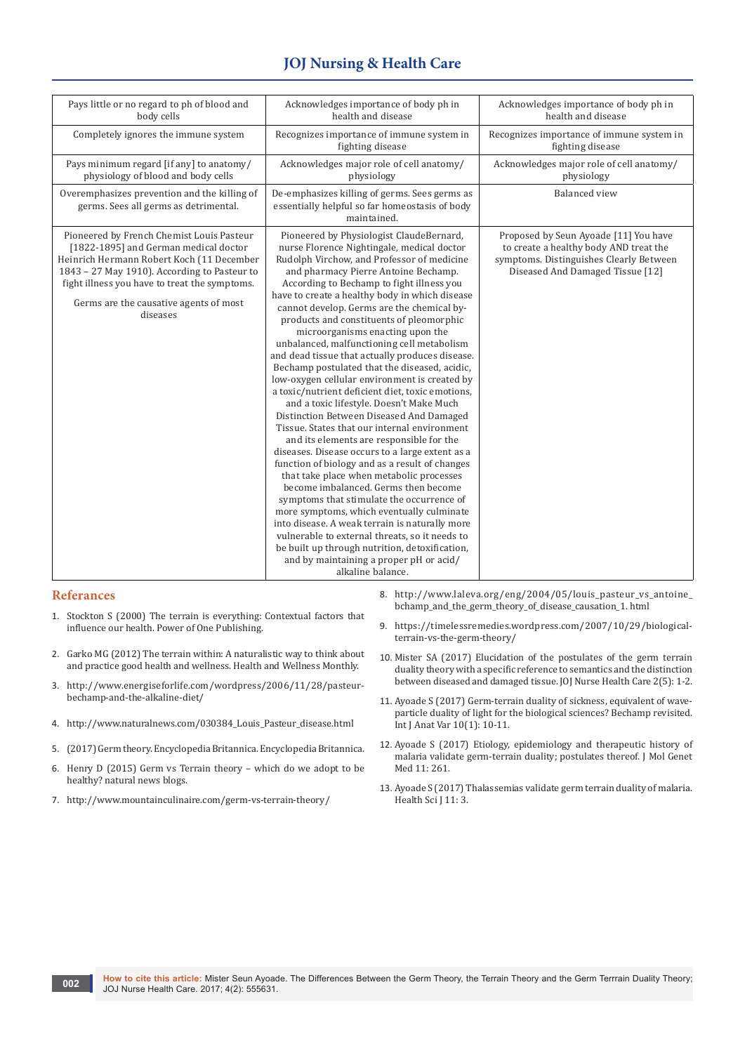# **JOJ Nursing & Health Care**

| Pays little or no regard to ph of blood and<br>body cells                                                                                                                                                                                                                              | Acknowledges importance of body ph in<br>health and disease                                                                                                                                                                                                                                                                                                                                                                                                                                                                                                                                                                                                                                                                                                                                                                                                                                                                                                                                                                                                                                                                                                                                                                                                                                                                                                   | Acknowledges importance of body ph in<br>health and disease                                                                                                    |
|----------------------------------------------------------------------------------------------------------------------------------------------------------------------------------------------------------------------------------------------------------------------------------------|---------------------------------------------------------------------------------------------------------------------------------------------------------------------------------------------------------------------------------------------------------------------------------------------------------------------------------------------------------------------------------------------------------------------------------------------------------------------------------------------------------------------------------------------------------------------------------------------------------------------------------------------------------------------------------------------------------------------------------------------------------------------------------------------------------------------------------------------------------------------------------------------------------------------------------------------------------------------------------------------------------------------------------------------------------------------------------------------------------------------------------------------------------------------------------------------------------------------------------------------------------------------------------------------------------------------------------------------------------------|----------------------------------------------------------------------------------------------------------------------------------------------------------------|
| Completely ignores the immune system                                                                                                                                                                                                                                                   | Recognizes importance of immune system in<br>fighting disease                                                                                                                                                                                                                                                                                                                                                                                                                                                                                                                                                                                                                                                                                                                                                                                                                                                                                                                                                                                                                                                                                                                                                                                                                                                                                                 | Recognizes importance of immune system in<br>fighting disease                                                                                                  |
| Pays minimum regard [if any] to anatomy/<br>physiology of blood and body cells                                                                                                                                                                                                         | Acknowledges major role of cell anatomy/<br>physiology                                                                                                                                                                                                                                                                                                                                                                                                                                                                                                                                                                                                                                                                                                                                                                                                                                                                                                                                                                                                                                                                                                                                                                                                                                                                                                        | Acknowledges major role of cell anatomy/<br>physiology                                                                                                         |
| Overemphasizes prevention and the killing of<br>germs. Sees all germs as detrimental.                                                                                                                                                                                                  | De-emphasizes killing of germs. Sees germs as<br>essentially helpful so far homeostasis of body<br>maintained.                                                                                                                                                                                                                                                                                                                                                                                                                                                                                                                                                                                                                                                                                                                                                                                                                                                                                                                                                                                                                                                                                                                                                                                                                                                | <b>Balanced</b> view                                                                                                                                           |
| Pioneered by French Chemist Louis Pasteur<br>[1822-1895] and German medical doctor<br>Heinrich Hermann Robert Koch (11 December<br>1843 - 27 May 1910). According to Pasteur to<br>fight illness you have to treat the symptoms.<br>Germs are the causative agents of most<br>diseases | Pioneered by Physiologist ClaudeBernard,<br>nurse Florence Nightingale, medical doctor<br>Rudolph Virchow, and Professor of medicine<br>and pharmacy Pierre Antoine Bechamp.<br>According to Bechamp to fight illness you<br>have to create a healthy body in which disease<br>cannot develop. Germs are the chemical by-<br>products and constituents of pleomorphic<br>microorganisms enacting upon the<br>unbalanced, malfunctioning cell metabolism<br>and dead tissue that actually produces disease.<br>Bechamp postulated that the diseased, acidic,<br>low-oxygen cellular environment is created by<br>a toxic/nutrient deficient diet, toxic emotions,<br>and a toxic lifestyle. Doesn't Make Much<br>Distinction Between Diseased And Damaged<br>Tissue. States that our internal environment<br>and its elements are responsible for the<br>diseases. Disease occurs to a large extent as a<br>function of biology and as a result of changes<br>that take place when metabolic processes<br>become imbalanced. Germs then become<br>symptoms that stimulate the occurrence of<br>more symptoms, which eventually culminate<br>into disease. A weak terrain is naturally more<br>vulnerable to external threats, so it needs to<br>be built up through nutrition, detoxification,<br>and by maintaining a proper pH or acid/<br>alkaline balance. | Proposed by Seun Ayoade [11] You have<br>to create a healthy body AND treat the<br>symptoms. Distinguishes Clearly Between<br>Diseased And Damaged Tissue [12] |

#### **Referances**

- 1. Stockton S (2000) The terrain is everything: Contextual factors that influence our health. Power of One Publishing.
- 2. Garko MG (2012) [The terrain within: A naturalistic way to think about](http://letstalknutrition.com/the-terrain-within-a-naturalistic-way-to-think/)  [and practice good health and wellness.](http://letstalknutrition.com/the-terrain-within-a-naturalistic-way-to-think/) Health and Wellness Monthly.
- 3. [http://www.energiseforlife.com/wordpress/2006/11/28/pasteur](http://www.energiseforlife.com/wordpress/2006/11/28/pasteur-bechamp-and-the-alkaline-diet/)[bechamp-and-the-alkaline-diet/](http://www.energiseforlife.com/wordpress/2006/11/28/pasteur-bechamp-and-the-alkaline-diet/)
- 4. [http://www.naturalnews.com/030384\\_Louis\\_Pasteur\\_disease.html](http://www.naturalnews.com/030384_Louis_Pasteur_disease.html)
- 5. [\(2017\) Germ theory. Encyclopedia Britannica. Encyclopedia Britannica.](https://www.britannica.com/topic/germ-theory)
- 6. [Henry D \(2015\) Germ vs Terrain theory which do we adopt to be](http://www.naturalnewsblogs.com/germ-vs-terrain-theory-adopt-healthy/)  [healthy? natural news blogs.](http://www.naturalnewsblogs.com/germ-vs-terrain-theory-adopt-healthy/)
- 7. <http://www.mountainculinaire.com/germ-vs-terrain-theory/>
- 8. [http://www.laleva.org/eng/2004/05/louis\\_pasteur\\_vs\\_antoine\\_](http://www.laleva.org/eng/2004/05/louis_pasteur_vs_antoine_bchamp_and_the_germ_theory_of_disease_causation_1.%20html) [bchamp\\_and\\_the\\_germ\\_theory\\_of\\_disease\\_causation\\_1. html](http://www.laleva.org/eng/2004/05/louis_pasteur_vs_antoine_bchamp_and_the_germ_theory_of_disease_causation_1.%20html)
- 9. [https://timelessremedies.wordpress.com/2007/10/29/biological](https://timelessremedies.wordpress.com/2007/10/29/biological-terrain-vs-the-germ-theory/)[terrain-vs-the-germ-theory/](https://timelessremedies.wordpress.com/2007/10/29/biological-terrain-vs-the-germ-theory/)
- 10. [Mister SA \(2017\) Elucidation of the postulates of the germ terrain](https://juniperpublishers.com/jojnhc/pdf/JOJNHC.MS.ID.555599.pdf)  [duality theory with a specific reference to semantics and the distinction](https://juniperpublishers.com/jojnhc/pdf/JOJNHC.MS.ID.555599.pdf)  [between diseased and damaged tissue. JOJ Nurse Health Care 2\(5\): 1-2.](https://juniperpublishers.com/jojnhc/pdf/JOJNHC.MS.ID.555599.pdf)
- 11. [Ayoade S \(2017\) Germ-terrain duality of sickness, equivalent of wave](https://www.pulsus.com/scholarly-articles/germterrain-duality-of-sickness-equivalent-of-waveparticle-duality-of-light-for-the-biological-sciences-bechamp-revisite.pdf)[particle duality of light for the biological sciences? Bechamp revisited.](https://www.pulsus.com/scholarly-articles/germterrain-duality-of-sickness-equivalent-of-waveparticle-duality-of-light-for-the-biological-sciences-bechamp-revisite.pdf)  [Int J Anat Var 10\(1\): 10-11.](https://www.pulsus.com/scholarly-articles/germterrain-duality-of-sickness-equivalent-of-waveparticle-duality-of-light-for-the-biological-sciences-bechamp-revisite.pdf)
- 12. Ayoade S (2017) Etiology, epidemiology and therapeutic history of malaria validate germ-terrain duality; postulates thereof. J Mol Genet Med 11: 261.
- 13. Ayoade S (2017) Thalassemias validate germ terrain duality of malaria. Health Sci J 11: 3.